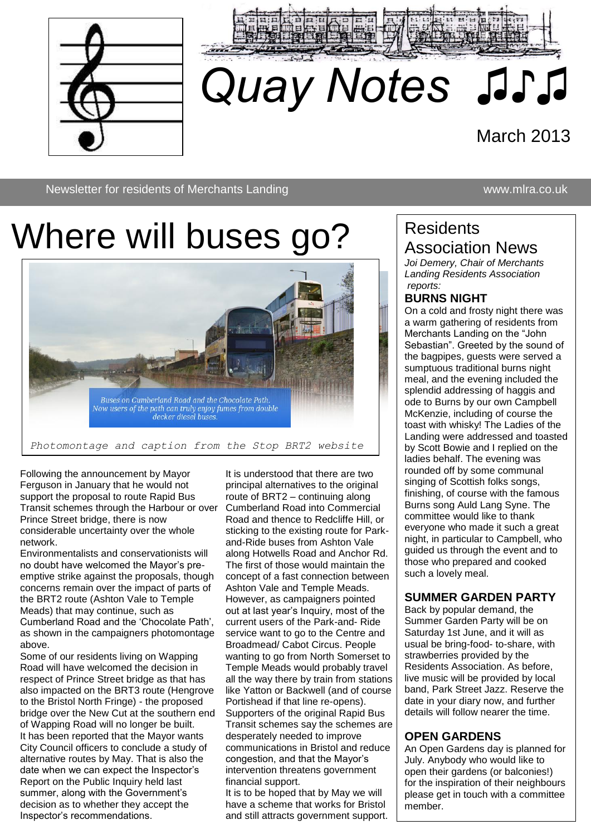



# *Quay Notes ♫♪♫*

# March 2013

Newsletter for residents of Merchants Landing www.mlra.co.uk

# Where will buses go?

♫♫



*Photomontage and caption from the Stop BRT2 website*

Following the announcement by Mayor Ferguson in January that he would not support the proposal to route Rapid Bus Transit schemes through the Harbour or over Prince Street bridge, there is now considerable uncertainty over the whole network.

Environmentalists and conservationists will no doubt have welcomed the Mayor's preemptive strike against the proposals, though concerns remain over the impact of parts of the BRT2 route (Ashton Vale to Temple Meads) that may continue, such as Cumberland Road and the 'Chocolate Path', as shown in the campaigners photomontage above.

Some of our residents living on Wapping Road will have welcomed the decision in respect of Prince Street bridge as that has also impacted on the BRT3 route (Hengrove to the Bristol North Fringe) - the proposed bridge over the New Cut at the southern end of Wapping Road will no longer be built. It has been reported that the Mayor wants City Council officers to conclude a study of alternative routes by May. That is also the date when we can expect the Inspector's Report on the Public Inquiry held last summer, along with the Government's decision as to whether they accept the Inspector's recommendations.

It is understood that there are two principal alternatives to the original route of BRT2 – continuing along Cumberland Road into Commercial Road and thence to Redcliffe Hill, or sticking to the existing route for Parkand-Ride buses from Ashton Vale along Hotwells Road and Anchor Rd. The first of those would maintain the concept of a fast connection between Ashton Vale and Temple Meads. However, as campaigners pointed out at last year's Inquiry, most of the current users of the Park-and- Ride service want to go to the Centre and Broadmead/ Cabot Circus. People wanting to go from North Somerset to Temple Meads would probably travel all the way there by train from stations like Yatton or Backwell (and of course Portishead if that line re-opens). Supporters of the original Rapid Bus Transit schemes say the schemes are desperately needed to improve communications in Bristol and reduce congestion, and that the Mayor's intervention threatens government financial support.

It is to be hoped that by May we will have a scheme that works for Bristol and still attracts government support.

# **Residents** Association News

*Joi Demery, Chair of Merchants Landing Residents Association reports:*

## **BURNS NIGHT**

On a cold and frosty night there was a warm gathering of residents from Merchants Landing on the "John Sebastian". Greeted by the sound of the bagpipes, guests were served a sumptuous traditional burns night meal, and the evening included the splendid addressing of haggis and ode to Burns by our own Campbell McKenzie, including of course the toast with whisky! The Ladies of the Landing were addressed and toasted by Scott Bowie and I replied on the ladies behalf. The evening was rounded off by some communal singing of Scottish folks songs, finishing, of course with the famous Burns song Auld Lang Syne. The committee would like to thank everyone who made it such a great night, in particular to Campbell, who guided us through the event and to those who prepared and cooked such a lovely meal.

#### **SUMMER GARDEN PARTY**

Back by popular demand, the Summer Garden Party will be on Saturday 1st June, and it will as usual be bring-food- to-share, with strawberries provided by the Residents Association. As before, live music will be provided by local band, Park Street Jazz. Reserve the date in your diary now, and further details will follow nearer the time.

## **OPEN GARDENS**

An Open Gardens day is planned for July. Anybody who would like to open their gardens (or balconies!) for the inspiration of their neighbours please get in touch with a committee member.